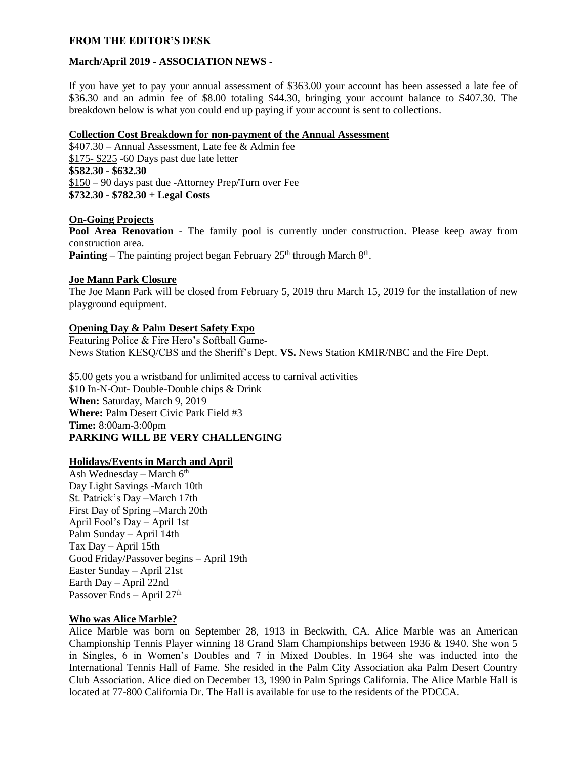### **FROM THE EDITOR'S DESK**

### **March/April 2019 - ASSOCIATION NEWS -**

If you have yet to pay your annual assessment of \$363.00 your account has been assessed a late fee of \$36.30 and an admin fee of \$8.00 totaling \$44.30, bringing your account balance to \$407.30. The breakdown below is what you could end up paying if your account is sent to collections.

# **Collection Cost Breakdown for non-payment of the Annual Assessment**

\$407.30 – Annual Assessment, Late fee & Admin fee \$175- \$225 -60 Days past due late letter **\$582.30 - \$632.30** \$150 – 90 days past due -Attorney Prep/Turn over Fee **\$732.30 - \$782.30 + Legal Costs**

### **On-Going Projects**

**Pool Area Renovation** - The family pool is currently under construction. Please keep away from construction area. **Painting** – The painting project began February  $25<sup>th</sup>$  through March  $8<sup>th</sup>$ .

### **Joe Mann Park Closure**

The Joe Mann Park will be closed from February 5, 2019 thru March 15, 2019 for the installation of new playground equipment.

# **Opening Day & Palm Desert Safety Expo**

Featuring Police & Fire Hero's Softball Game-News Station KESQ/CBS and the Sheriff's Dept. **VS.** News Station KMIR/NBC and the Fire Dept.

\$5.00 gets you a wristband for unlimited access to carnival activities \$10 In-N-Out- Double-Double chips & Drink **When:** Saturday, March 9, 2019 **Where:** Palm Desert Civic Park Field #3 **Time:** 8:00am-3:00pm **PARKING WILL BE VERY CHALLENGING**

## **Holidays/Events in March and April**

Ash Wednesday – March  $6<sup>th</sup>$ Day Light Savings -March 10th St. Patrick's Day –March 17th First Day of Spring –March 20th April Fool's Day – April 1st Palm Sunday – April 14th Tax Day – April 15th Good Friday/Passover begins – April 19th Easter Sunday – April 21st Earth Day – April 22nd Passover Ends – April 27<sup>th</sup>

# **Who was Alice Marble?**

Alice Marble was born on September 28, 1913 in Beckwith, CA. Alice Marble was an American Championship Tennis Player winning 18 Grand Slam Championships between 1936 & 1940. She won 5 in Singles, 6 in Women's Doubles and 7 in Mixed Doubles. In 1964 she was inducted into the International Tennis Hall of Fame. She resided in the Palm City Association aka Palm Desert Country Club Association. Alice died on December 13, 1990 in Palm Springs California. The Alice Marble Hall is located at 77-800 California Dr. The Hall is available for use to the residents of the PDCCA.